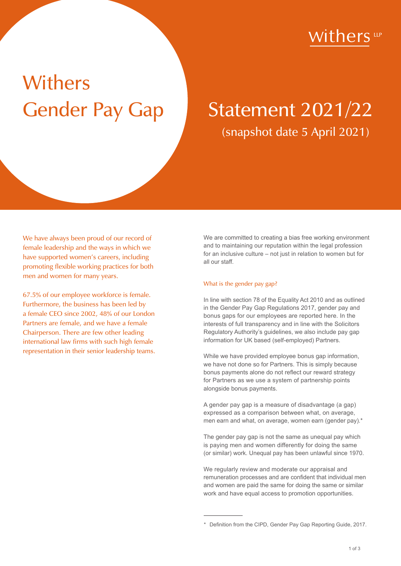## 'ithers up

# Withers

# Gender Pay Gap Statement 2021/22 (snapshot date 5 April 2021)

We have always been proud of our record of female leadership and the ways in which we have supported women's careers, including promoting flexible working practices for both men and women for many years.

67.5% of our employee workforce is female. Furthermore, the business has been led by a female CEO since 2002, 48% of our London Partners are female, and we have a female Chairperson. There are few other leading international law firms with such high female representation in their senior leadership teams. We are committed to creating a bias free working environment and to maintaining our reputation within the legal profession for an inclusive culture – not just in relation to women but for all our staff.

#### What is the gender pay gap?

In line with section 78 of the Equality Act 2010 and as outlined in the Gender Pay Gap Regulations 2017, gender pay and bonus gaps for our employees are reported here. In the interests of full transparency and in line with the Solicitors Regulatory Authority's guidelines, we also include pay gap information for UK based (self-employed) Partners.

While we have provided employee bonus gap information, we have not done so for Partners. This is simply because bonus payments alone do not reflect our reward strategy for Partners as we use a system of partnership points alongside bonus payments.

A gender pay gap is a measure of disadvantage (a gap) expressed as a comparison between what, on average, men earn and what, on average, women earn (gender pay).\*

The gender pay gap is not the same as unequal pay which is paying men and women differently for doing the same (or similar) work. Unequal pay has been unlawful since 1970.

We regularly review and moderate our appraisal and remuneration processes and are confident that individual men and women are paid the same for doing the same or similar work and have equal access to promotion opportunities.

<sup>\*</sup> Definition from the CIPD, Gender Pay Gap Reporting Guide, 2017.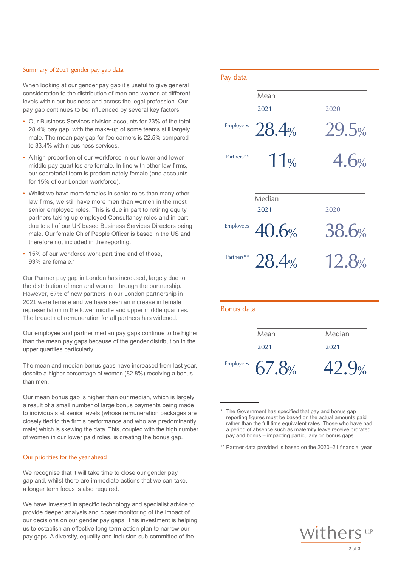#### Summary of 2021 gender pay gap data

- Our Business Services division accounts for 23% of the total<br>28.4% pay gap, with the make-up of some teams still largely<br>male. The mean pay gap for fee earners is 22.5% compared 28.4% pay gap, with the make-up of some teams still largely male. The mean pay gap for fee earners is 22.5% compared to 33.4% within business services.
- middle pay quartiles are female. In line with other law firms, our secretarial team is predominately female (and accounts for 15% of our London workforce).
- Whilst we have more females in senior roles than many other law firms, we still have more men than women in the most senior employed roles. This is due in part to retiring equity partners taking up employed Consultancy roles and in part due to all of our UK based Business Services Directors being male. Our female Chief People Officer is based in the US and therefore not included in the reporting.
- 93% are female.\*

The mean and median bonus gaps have increased from last year, despite a higher percentage of women (82.8%) receiving a bonus than men.

Our mean bonus gap is higher than our median, which is largely a result of a small number of large bonus payments being made to individuals at senior levels (whose remuneration packages are closely tied to the firm's performance and who are predominantly male) which is skewing the data. This, coupled with the high number of women in our lower paid roles, is creating the bonus gap.

#### Our priorities for the year ahead

a longer term focus is also required. We recognise that it will take time to close our gender pay gap and, whilst there are immediate actions that we can take,

We have invested in specific technology and specialist advice to provide deeper analysis and closer monitoring of the impact of our decisions on our gender pay gaps. This investment is helping us to establish an effective long term action plan to narrow our pay gaps. A diversity, equality and inclusion sub-committee of the

| Summary of 2021 gender pay gap data                                                                                                                                                                                                                                | Pay data          |                |                |
|--------------------------------------------------------------------------------------------------------------------------------------------------------------------------------------------------------------------------------------------------------------------|-------------------|----------------|----------------|
| When looking at our gender pay gap it's useful to give general<br>consideration to the distribution of men and women at different<br>levels within our business and across the legal profession. Our<br>pay gap continues to be influenced by several key factors: |                   | Mean<br>2021   | 2020           |
| • Our Business Services division accounts for 23% of the total<br>28.4% pay gap, with the make-up of some teams still largely<br>male. The mean pay gap for fee earners is 22.5% compared<br>to 33.4% within business services.                                    | Employees         | 28.4%          | 29.5%          |
| A high proportion of our workforce in our lower and lower<br>middle pay quartiles are female. In line with other law firms,<br>our secretarial team is predominately female (and accounts<br>for 15% of our London workforce).                                     | Partners**        | 11%            | 4.6%           |
| Whilst we have more females in senior roles than many other<br>law firms, we still have more men than women in the most<br>senior employed roles. This is due in part to retiring equity<br>partners taking up employed Consultancy roles and in part              |                   | Median<br>2021 | 2020           |
| due to all of our UK based Business Services Directors being<br>male. Our female Chief People Officer is based in the US and<br>therefore not included in the reporting.                                                                                           | Employees         | 40.6%          | 38.6%          |
| 15% of our workforce work part time and of those,<br>93% are female.*                                                                                                                                                                                              | Partners**        | 28.4%          | 12.8%          |
| Our Partner pay gap in London has increased, largely due to<br>the distribution of men and women through the partnership.<br>However, 67% of new partners in our London partnership in                                                                             |                   |                |                |
| 2021 were female and we have seen an increase in female<br>representation in the lower middle and upper middle quartiles.<br>The breadth of remuneration for all partners has widened.                                                                             | <b>Bonus</b> data |                |                |
| Our employee and partner median pay gaps continue to be higher<br>than the mean pay gaps because of the gender distribution in the<br>upper quartiles particularly.                                                                                                |                   | Mean<br>2021   | Median<br>2021 |
| The mean and median bonus gaps have increased from last year,<br>despite a bigher nercentage of women (82.8%) receiving a bonus                                                                                                                                    | Employees         | .8%            | $\frac{1}{2}$  |

\*\* Partner data provided is based on the 2020–21 financial year



<sup>\*</sup> The Government has specified that pay and bonus gap a period of absence such as maternity leave receive prorated pay and bonus – impacting particularly on bonus gaps reporting figures must be based on the actual amounts paid rather than the full time equivalent rates. Those who have had